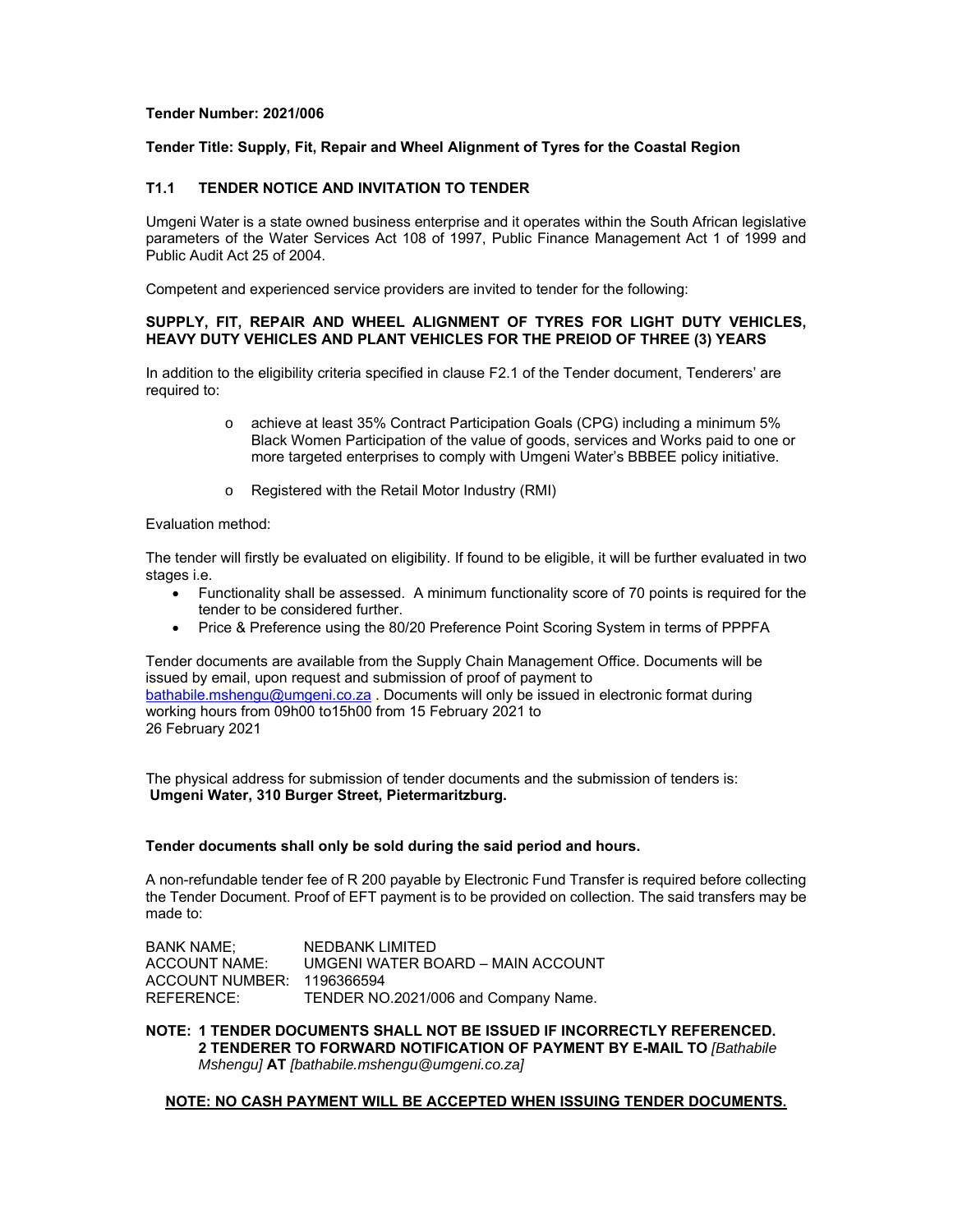### **Tender Number: 2021/006**

# **Tender Title: Supply, Fit, Repair and Wheel Alignment of Tyres for the Coastal Region**

# **T1.1 TENDER NOTICE AND INVITATION TO TENDER**

Umgeni Water is a state owned business enterprise and it operates within the South African legislative parameters of the Water Services Act 108 of 1997, Public Finance Management Act 1 of 1999 and Public Audit Act 25 of 2004.

Competent and experienced service providers are invited to tender for the following:

## **SUPPLY, FIT, REPAIR AND WHEEL ALIGNMENT OF TYRES FOR LIGHT DUTY VEHICLES, HEAVY DUTY VEHICLES AND PLANT VEHICLES FOR THE PREIOD OF THREE (3) YEARS**

In addition to the eligibility criteria specified in clause F2.1 of the Tender document, Tenderers' are required to:

- o achieve at least 35% Contract Participation Goals (CPG) including a minimum 5% Black Women Participation of the value of goods, services and Works paid to one or more targeted enterprises to comply with Umgeni Water's BBBEE policy initiative.
- o Registered with the Retail Motor Industry (RMI)

### Evaluation method:

The tender will firstly be evaluated on eligibility. If found to be eligible, it will be further evaluated in two stages i.e.

- Functionality shall be assessed. A minimum functionality score of 70 points is required for the tender to be considered further.
- Price & Preference using the 80/20 Preference Point Scoring System in terms of PPPFA

Tender documents are available from the Supply Chain Management Office. Documents will be issued by email, upon request and submission of proof of payment to bathabile.mshengu@umgeni.co.za . Documents will only be issued in electronic format during working hours from 09h00 to15h00 from 15 February 2021 to 26 February 2021

The physical address for submission of tender documents and the submission of tenders is: **Umgeni Water, 310 Burger Street, Pietermaritzburg.** 

## **Tender documents shall only be sold during the said period and hours.**

A non-refundable tender fee of R 200 payable by Electronic Fund Transfer is required before collecting the Tender Document. Proof of EFT payment is to be provided on collection. The said transfers may be made to:

BANK NAME; NEDBANK LIMITED ACCOUNT NAME: UMGENI WATER BOARD – MAIN ACCOUNT ACCOUNT NUMBER: 1196366594 REFERENCE: TENDER NO.2021/006 and Company Name.

**NOTE: 1 TENDER DOCUMENTS SHALL NOT BE ISSUED IF INCORRECTLY REFERENCED. 2 TENDERER TO FORWARD NOTIFICATION OF PAYMENT BY E-MAIL TO** *[Bathabile Mshengu]* **AT** *[bathabile.mshengu@umgeni.co.za]* 

### **NOTE: NO CASH PAYMENT WILL BE ACCEPTED WHEN ISSUING TENDER DOCUMENTS.**